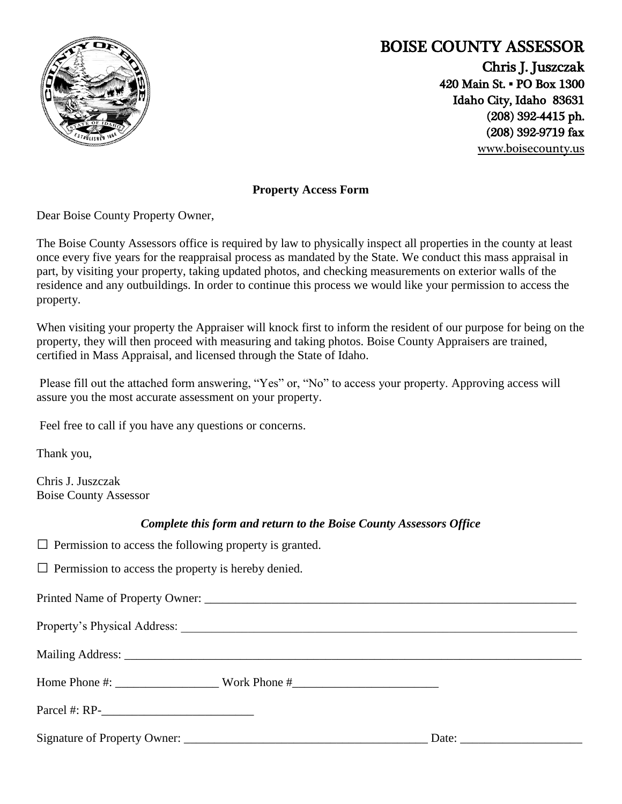

## **BOISE COUNTY ASSESSOR**

Chris J. Juszczak 420 Main St. **▪** PO Box 1300 Idaho City, Idaho 83631 (208) 392-4415 ph. (208) 392-9719 fax [www.boisecounty.us](http://www.co.boise.id.us/)

**Property Access Form**

Dear Boise County Property Owner,

The Boise County Assessors office is required by law to physically inspect all properties in the county at least once every five years for the reappraisal process as mandated by the State. We conduct this mass appraisal in part, by visiting your property, taking updated photos, and checking measurements on exterior walls of the residence and any outbuildings. In order to continue this process we would like your permission to access the property.

When visiting your property the Appraiser will knock first to inform the resident of our purpose for being on the property, they will then proceed with measuring and taking photos. Boise County Appraisers are trained, certified in Mass Appraisal, and licensed through the State of Idaho.

Please fill out the attached form answering, "Yes" or, "No" to access your property. Approving access will assure you the most accurate assessment on your property.

Feel free to call if you have any questions or concerns.

Thank you,

Chris J. Juszczak Boise County Assessor

## *Complete this form and return to the Boise County Assessors Office*

 $\Box$  Permission to access the following property is granted.

 $\Box$  Permission to access the property is hereby denied.

Printed Name of Property Owner: Property's Physical Address: Mailing Address: \_\_\_\_\_\_\_\_\_\_\_\_\_\_\_\_\_\_\_\_\_\_\_\_\_\_\_\_\_\_\_\_\_\_\_\_\_\_\_\_\_\_\_\_\_\_\_\_\_\_\_\_\_\_\_\_\_\_\_\_\_\_\_\_\_\_\_\_\_\_\_\_\_\_\_ Home Phone #: Work Phone # Parcel #: RP-Signature of Property Owner:  $\Box$  Date:  $\Box$